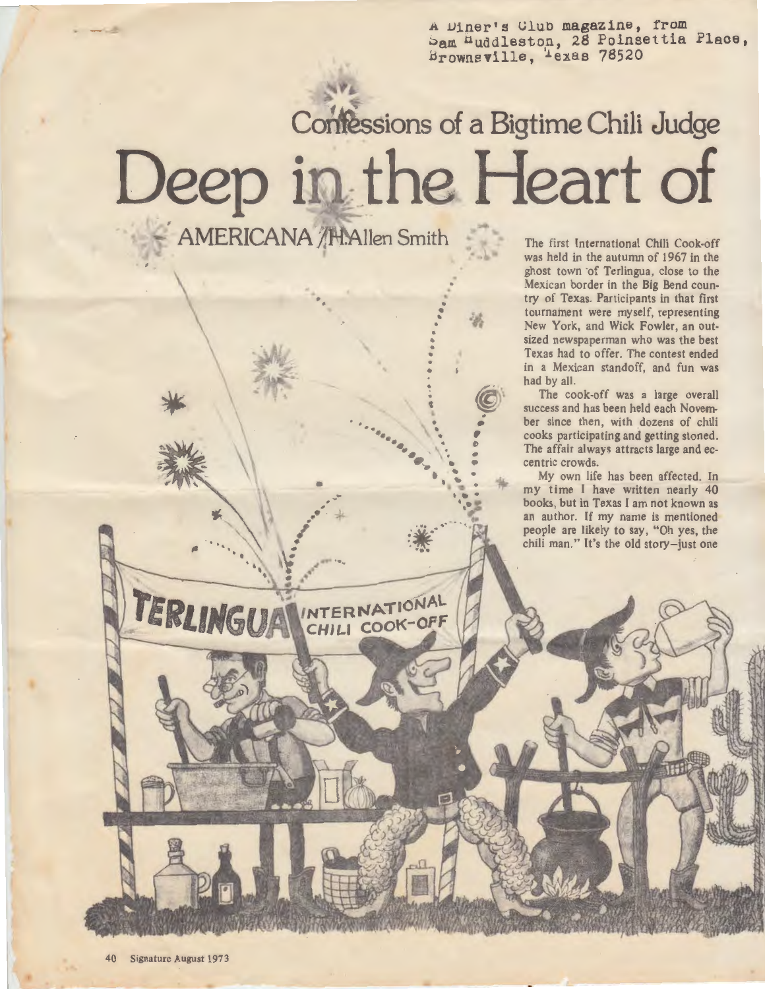A Diner's Club magazine, from bam nuddleston, 28 Poinsettia Place, Brownsville, Texas 78520

## **Confessions of a Bigtime Chili Judge** Deep in the Heart of ... AMERICANA /H.Allen Smith

• •

. .

•

•

.. •  $\frac{1}{\sigma}$ 

• •

 $\mathbf{e}^{\mathbf{e}}_{\mathbf{e}}$ 

INTERNATIONAL CHILI COOK-OFF

.

.

The first International Chili Cook-off was held in the autumn of 1967 in the ghost town of Terlingua, close to the Mexican border in the Big Bend country of Texas. Participants in that first tournament were myself, representing New York, and Wick Fowler, an outsized newspaperman who was the best Texas had to offer. The contest ended in a Mexican standoff, and fun was had by all.

The cook-off was a large overall success and has been held each November since then, with dozens of chili cooks participating and getting stoned . The affair always attracts large and eccentric crowds.

My own life has been affected. In my time I have written nearly 40 books, but in Texas I am not known as an author. If my name is mentioned people are likely to say, "Oh yes, the chili man." It's the old story-just one

TERLINGUA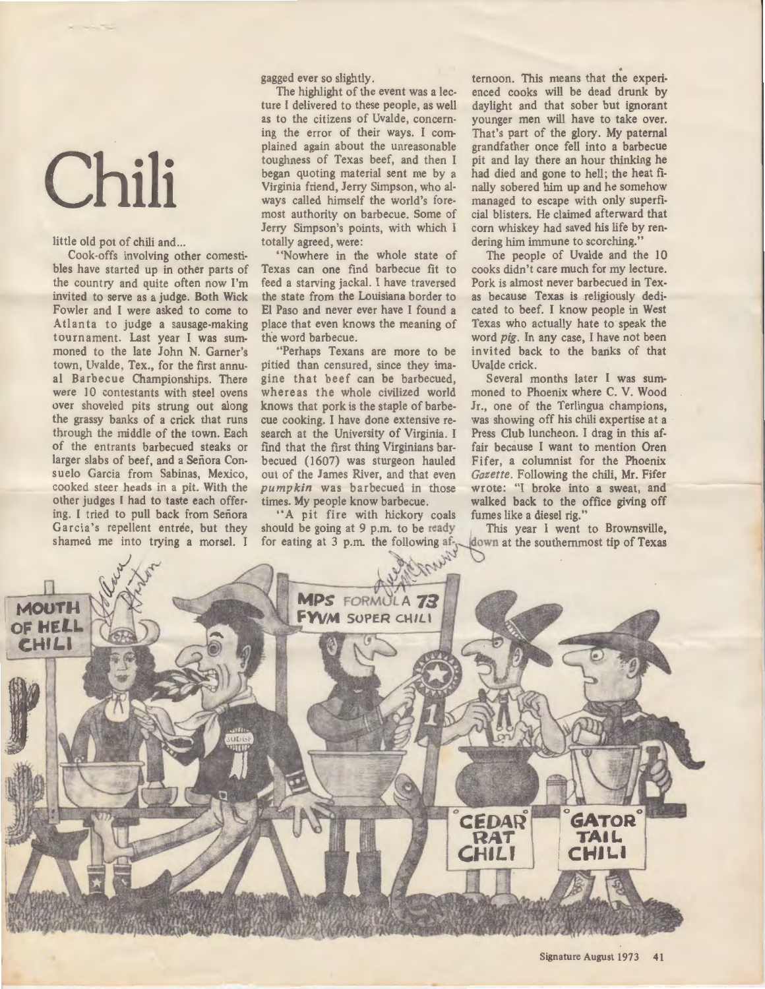## **Chili**

little old pot of chili and...

Cook-offs involving other comestibles have started up in other parts of the country and quite often now I'm invited to serve as a judge. Both Wick Fowler and I were asked to come to Atlanta to judge a sausage-making tournament. Last year I was summoned to the late John N. Garner's town, Uvalde, Tex., for the first annual Barbecue Championships. There were 10 contestants with steel ovens over shoveled pits strung out along the grassy banks of a crick that runs through the middle of the town. Each of the entrants barbecued steaks or larger slabs of beef, and a Senora Consuelo Garcia from Sabinas, Mexico, cooked steer heads in a pit. With the other judges I had to **taste each** offering. I tried to pull back from Senora Garcia's repellent entree, but they shamed me into trying a morsel. I

as to the citizens of Uvalde, concern-younger men will have to take over.<br>ing the error of their ways. I com-<br>That's part of the glory. My paternal plained again about the unreasonable toughness of Texas beef, and then I toughness of Texas beef, and then I pit and lay there an hour thinking he began quoting material sent me by a had died and gone to hell; the heat fibegan quoting material sent me by a had died and gone to hell; the heat fi-<br>Virginia friend, Jerry Simpson, who al- nally sobered him up and he somehow ways called himself the world's fore- managed to escape with only superfi-<br>most authority on barbecue. Some of cial blisters. He claimed afterward that most authority on barbecue. Some of Jerry Simpson's points, with which I Jerry Simpson's points, with which  $I$  corn whiskey had saved his life by rentotally agreed, were: dering him immune to scorching." ally agreed, were:<br>
"Nowhere in the whole state of The people of Uvalde and the "Nowhere in the whole state of The people of Uvalde and the

feed a starving jackal. I have traversed Pork is almost never barbecued in **Tex**the state from the Louisiana border to El Paso and never ever have I found a cated to beef. I know people in West place that even knows the meaning of Texas who actually hate to speak the

pitied than censured, since they ima-<br>gine that beef can be barbecued, Several months later I was sumgine that beef can be barbecued, whereas the whole civilized world moned to Phoenix where C. V. Wood knows that pork is the staple of barbe-  $J_r$ , one of the Terlingua champions, knows that pork is the staple of barbe-  $Jr$ , one of the Terlingua champions, cue cooking. I have done extensive re- was showing off his chili expertise at a cue cooking. I have done extensive re-<br>search at the University of Virginia. I Press Club luncheon. I drag in this affind that the first thing Virginians bar-<br>becued (1607) was sturgeon hauled becued (1607) was sturgeon hauled Fifer, a columnist for the Phoenix out of the James River, and that even *Gazette*. Following the chili, Mr. Fifer out of the James River, and that even *Gazette*. Following the chili, Mr. Fifer *pumpkin* was barbecued in those wrote: "I broke into a sweat, and pumpkin was barbecued in those wrote: "I broke into a sweat, and times. My people know barbecue. walked back to the office giving off

"A pit fire with hickory coals should be going at  $9$  p.m. to be ready for eating at 3 p.m. the following af- $\chi$ 

gagged ever so slightly.<br>The highlight of the event was a lec- enced cooks will be dead drunk by The highlight of the event was a lec-<br>time and cooks will be dead drunk by<br>ture I delivered to these people, as well<br>daylight and that sober but ignorant daylight and that sober but ignorant That's part of the glory. My paternal grandfather once fell into a barbecue nally sobered him up and he somehow

"Nowhere in the whole state of The people of Uvalde and the 10<br>Texas can one find barbecue fit to cooks didn't care much for my lecture. cooks didn't care much for my lecture.<br>Pork is almost never barbecued in Tex-Texas who actually hate to speak the the word barbecue.<br>
"Perhaps Texans are more to be invited back to the banks of that invited back to the banks of that<br>Uvalde crick.

> Press Club luncheon. I drag in this af-<br>fair because I want to mention Oren. walked back to the office giving off fumes like a diesel rig."

> This year I went to Brownsville, down at the southernmost tip of Texas

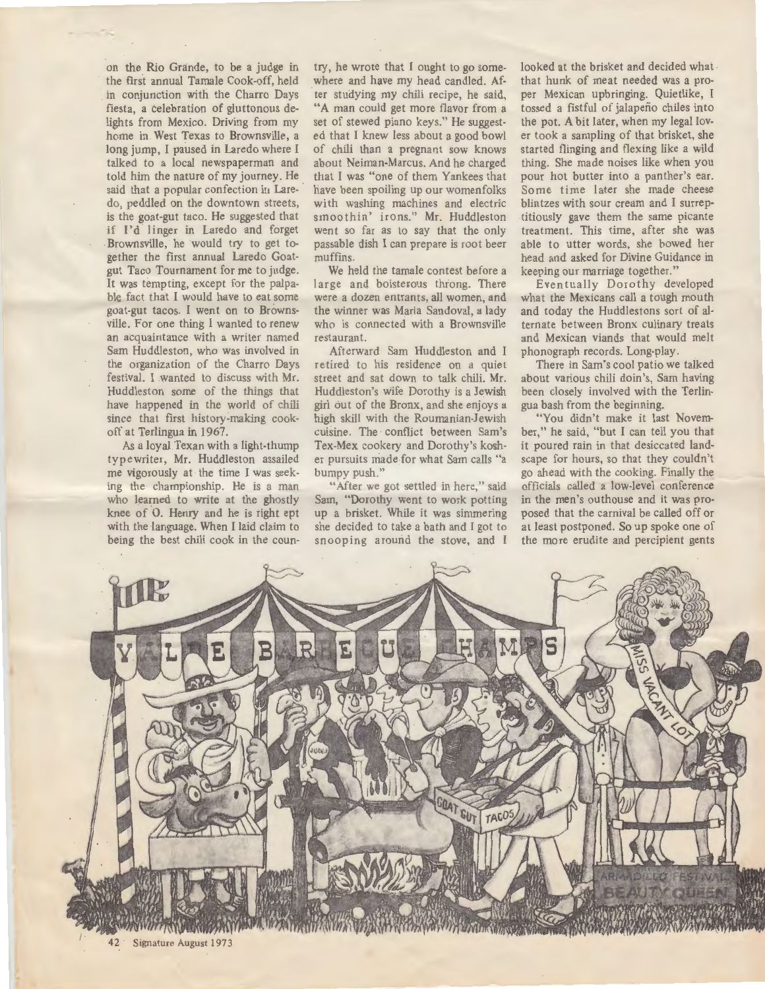on the Rio Grande, to be a judge in the first annual Tamale Cook-off, held in conjunction with the Charro Days fiesta, a celebration of gluttonous delights from Mexico. Driving from my home in . West Texas to Brownsville, a long jump, I paused in Laredo where I talked to a local newspaperman and told him the nature of my journey. He said that a popular confection in Laredo, peddled on the downtown streets, is the goat-gut taco. He suggested that if I'd linger in Laredo and forget Brownsville, he would try to get together the first annual Laredo Goatgut Taco Tournament for me to judge. It was tempting, except for the palpable fact that I would have to eat some goat-gut tacos. I went on to Brownsville. For one thing I wanted to renew an acquaintance with a writer named Sam Huddleston, who was involved in the organization of the Charro Days festival. I wanted to discuss with Mr. Huddleston some of the things that have happened in the world of chili since that first history-making cookoff at Terlingua in 1967.

As a loyal Texan with a light-thump typewriter, Mr. Huddleston assailed me vigorously at the time I was seeking the championship. He is a man who learned to write at the ghostly knee of 0. Henry and he is right ept with the language. When I laid claim to being the best chili cook in the coun-

try, he wrote that I ought to go somewhere and have my head candled. Af- . ter studying my chili recipe, he said, "A man could get more flavor from a set of stewed piano keys." He suggested that I knew less about a good bowl of chili than a pregnant sow knows about Neiman-Marcus. And he charged that I was "one of them Yankees that have been spoiling up our womenfolks with washing machines and electric smoothin' irons." Mr. Huddleston went so far as to say that the only passable dish I can prepare is root beer muffins.

We held the tamale contest before a large and boisterous throng. There were a dozen entrants, all women, and the winner was Maria Sandoval, a lady who is connected with a Brownsville restaurant.

Afterward Sam Huddleston and I re tired to his residence on a quiet street and sat down to talk chili. **Mr.**  Huddleston's wife Dorothy is a Jewish girl out of the Bronx, and she enjoys a high skill with the Roumanian-Jewish cuisine. The conflict between Sam's Tex-Mex cookery and Dorothy's kosher pursuits made for what Sam calls "a bumpy push."

"After we got settled in here," said Sam, "Dorothy went to work potting up a brisket. While it was simmering she decided to take a bath and I got to snooping around the stove, and I

looked at the brisket and decided what that hunk of meat needed was a proper Mexican upbringing. Quietlike, I tossed a fistful of jalapeño chiles into the pot. A bit later, when my legal lover took a sampling of that brisket, she started flinging and flexing like a wild thing. She made noises like when you pour hot butter into a panther's ear. Some time later she made cheese blintzes with sour cream and I surreptitiously gave them the same picante treatment. This time, after she was able to utter words, she bowed her head and asked for Divine Guidance in keeping our marriage together."

Eventually Dorothy developed what the Mexicans call a tough mouth and today the Huddlestons sort of alternate between Bronx culinary treats and Mexican viands that would melt phonograph records. Long-play.

There in Sam's cool patio we talked about various chili doin's, Sam having been closely involved with the Terlingua bash from the beginning.

"You didn't make it last November," he said, "but I can tell you that it poured rain in that desiccated landscape for hours, so that they couldn't go ahead with the cooking. Finally the officials called a low-level conference in the men's outhouse and it was proposed that the carnival be called off or at least postponed. So up spoke one of the more erudite and percipient gents